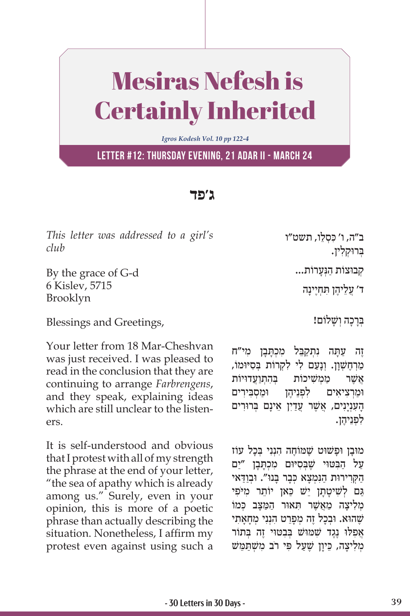## Mesiras Nefesh is Certainly Inherited

*Igros Kodesh Vol. 10 pp 122-4*

**Letter #12: Thursday evening, 21 Adar II - March 24**

## **ג'פד**

*This letter was addressed to a girl's club*

By the grace of G-d 6 Kislev, 5715 Brooklyn

Blessings and Greetings,

Your letter from 18 Mar-Cheshvan was just received. I was pleased to read in the conclusion that they are continuing to arrange *Farbrengens*, and they speak, explaining ideas which are still unclear to the listeners.

It is self-understood and obvious that I protest with all of my strength the phrase at the end of your letter, "the sea of apathy which is already among us." Surely, even in your opinion, this is more of a poetic phrase than actually describing the situation. Nonetheless, I affirm my protest even against using such a

ב״ה, ו׳ כּסָלֵו, תשט״ו ַבְּרוּקלין. ְק ּבו ַ צוֹ ת הְנּ ָערוֹ ת...

ֲ ד' עֵל ֶיה ִּ ן ת ְחֶי ָינה

בְּרַכָה וְשָׁלוֹם!

ַזֶה עַתַּה נִתְקַבֵּל מִכְתַּבַן מִי״ח ַמְרְחֱשָׁוַן. וְנַעֲם לִי לְקְרוֹת בְּסִיּוּמוֹ, אַשֶׁר ממשיכות בהתועדויות וּמַרְצִיאִים לְפִנֵיהֶן וּמַסְבִּירִים ָהָעָנְיָנִים, אֲשֶׁר עַדַיִן אֵינָם בְּרוּרִים לפניהן.

מוּבַן וּפַשׁוּט שֵׁמּוֹחֵה הָנִנִי בְּכַל עוֹז ַעֲל הַבְּטּוּי שֵׁבְּסִיּוּם מִכְתַּבַן ״יַם הקרירות הנּמַצא כִּבר בּנוּ". וּבִודּאי ְגַם לְשִׁיטַתַן יֵשׁ כַּאן יוֹתֵר מִיּפִי מליצה מאשר תאור המצב כּמוֹ שֶׁהוּא. וּבְכַל זֵה מְפַרֵט הָנְנִי מִחָאַתִי אפלו נְגֵד שׁמּוּשׁ בַּבטּוּי זֶה בְּתוֹר מְלִיצה, כֵּיון שֵׁעל פּי רֹב משִׁתִּמֵּשׁ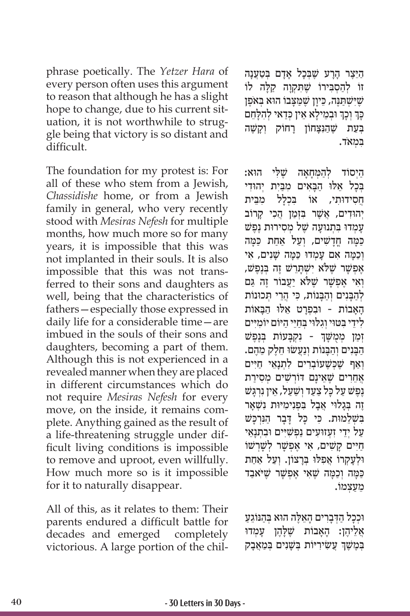phrase poetically. The *Yetzer Hara* of every person often uses this argument to reason that although he has a slight hope to change, due to his current situation, it is not worthwhile to struggle being that victory is so distant and difficult.

The foundation for my protest is: For all of these who stem from a Jewish, *Chassidishe* home, or from a Jewish family in general, who very recently stood with *Mesiras Nefesh* for multiple months, how much more so for many years, it is impossible that this was not implanted in their souls. It is also impossible that this was not transferred to their sons and daughters as well, being that the characteristics of fathers—especially those expressed in daily life for a considerable time—are imbued in the souls of their sons and daughters, becoming a part of them. Although this is not experienced in a revealed manner when they are placed in different circumstances which do not require *Mesiras Nefesh* for every move, on the inside, it remains complete. Anything gained as the result of a life-threatening struggle under difficult living conditions is impossible to remove and uproot, even willfully. How much more so is it impossible for it to naturally disappear.

All of this, as it relates to them: Their parents endured a difficult battle for decades and emerged completely victorious. A large portion of the chil-

הַיֵּצֵר הָרַע שֶׁבְּכָל אָדָם בְּטַעֲנָה ּזוֹ לְהַסְבִּירוֹ שֶׁתִּקְוָה קַלָּה לוֹ שִׁ יִּשְׁתַּנֵּה, כֵּיוַן שֶׁמַצַבוֹ הוּא בְּאֹפֵן כְּךְ וְכָךְ וּבְמֵילָא אֵין כְּדַאי לְהִלָּחֵם ֦֧֧֢֦֧<u>֓</u> ֦֧֧֢֦֧<u>֓</u> בִּעַת שֵׁהוּצחוֹן רחוֹק וִקְשֶׁה ִּב ְמאֹד.

ַהְיִסוֹד לְהַמְּחָאָה שֵׁלִּי הוּא: ַ בַּכַל אַלוּ הִבַּאִים מַבֵּית יהוִדי ָחסידוּתי, אוֹ בכלל מבית יְהוּדִים, אֵשֶׁר בִּזְמַן הֲכִי קַרוֹב עמדו בתנועה שֵׁל מסירות נֶפֵשׁ ַכְּמָה חֲדָשִׁים, וְעַל אַחַת כִּמַּה וְכָמָה אִם עַמְדוּ כַּמַּה שָׁנִים, אִי אַפִּשָׁר שֶׁלֹּא יִשְׁתַרַשׁ זֶה בְּנֶפֵּשׁ, וְאִי אָפִשָּׁר *יַטֱלֹּא* יַעֲבוֹר זֵה גם לְהַבָּנִים וְהָבְּנוֹת, כִּי הֲרֵי תְּכוּנוֹת האבוֹת - וּבפרט אלוּ הבּאוֹת לִידֵי בִּטּוּי וְגִלּוּי בִחַיֵּי הַיּוֹם יוֹמִיִּים ׇׅ֧֖֖֖֖֖֖֖֖֖֖֖ׅ֖֧ׅ֚֚֚֚֚֚֚֚֚֚֚֚֚֓֝֬֓֓֝֬<u>֓</u> ֿוְמַן מְטֻשָּׁךְ - נִקְבָּעוֹת בְנֶפֶשׁ הַבְּנִים וְהַבְּנוֹת וְנַעֲשׂוּ חֶלֵק מֶהֶם. ואף שַׁכּשַׁעוֹברים לתנאי חיים אַחֵרים שֵׁאֵינַם דּוֹרִשִׁים מִסִירַת **ַנְפֵשׁ על כּל צעד וַשׁעל, אֵין נִרְגּש** זָה בְּגלוִי אָבל בּפִנימיוּת נשָׁאר בִּשָׁלֵמוּת. כִּי כָּל דָּבָר הַגְּרְכָּשׁ ַעל ידי זעזוּעים נפשיים וּבתנאי ּחַיִּים קַשִׁים, אֵי אֲפִשָּׁר לְשַׁרְשׁוֹ ּו ְלָע ְק ֲ רוֹ א ִפ ּל ּו ְּ בָר ְ צוֹ ן. וַע ַ ל אַחת ַכּ ָּמ ְה וַכָּמה שֶׁ ִא ֶ י א ְפשָׁ ר שֶׁ ּי ַֹאבד ֵמַע ְצמוֹ .

ּוּכְכָל הַדְּבָרִים הָאֵלֶּה הוּא בְּהַנּוֹגֵעַ אֲלֵיהֶן: הָאָבוֹת שֶׁלָ<u>הֶן</u> עָמְדוּ ֖֖֖֧֧֧֧֧֧֧֧֧ׅ֧֧֧֧֧֧֧֧֧֧֧֧֧֚֚֚֚֚֚֚֚֚֚֚֚֚֚֚֚֚֚֝֝֟֓֝֬֝֓֝֟֓֝֬֝֬֝֓֝֬֜֓֝֬֝֬֝֬֝֬֝֬֝֬֝֬֝֬֝֬֝֬֝ בְּמֶשֶׁךָ עֲשִׂירִיּוֹת בְּשָׁנִים בְּמַאֲבָק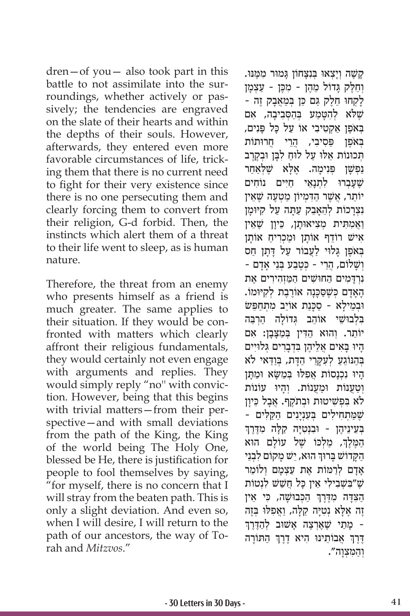dren—of you— also took part in this battle to not assimilate into the surroundings, whether actively or passively; the tendencies are engraved on the slate of their hearts and within the depths of their souls. However, afterwards, they entered even more favorable circumstances of life, tricking them that there is no current need to fight for their very existence since there is no one persecuting them and clearly forcing them to convert from their religion, G-d forbid. Then, the instincts which alert them of a threat to their life went to sleep, as is human nature.

Therefore, the threat from an enemy who presents himself as a friend is much greater. The same applies to their situation. If they would be confronted with matters which clearly affront their religious fundamentals, they would certainly not even engage with arguments and replies. They would simply reply "no'' with conviction. However, being that this begins with trivial matters—from their perspective—and with small deviations from the path of the King, the King of the world being The Holy One, blessed be He, there is justification for people to fool themselves by saying, "for myself, there is no concern that I will stray from the beaten path. This is only a slight deviation. And even so, when I will desire, I will return to the path of our ancestors, the way of Torah and *Mitzvos*."

ָקַשֶׁה וְיַצְאוּ בִּנְצַחוֹן גַּמוּר מִמֵּנּוּ. וְחֵלֶק גָּדוֹל מֵהֶן - מִכֶּן - עַצְמָן ַלְקְחוּ חֶלֶק גַּם כֶּן בְּמַאֲבַק זֶה -ּשֶׁלֹּא לְהִטָּמַע בְּהַסְּבִיבָה, אִם בְּאֹפֵן אקטיבי אוֹ על כּל פּנים, ַבְּאֹפֵן פּסיבי, הֵרֵי חֲרוּתוֹת הְכוּנוֹת אֵלוּ עַל לוּחַ לְבַּן וּבְקֶרֵב נַפְּשֶׁן פְּנִיכָ*ּוּ*. אֶלְא שֶׁלְאַחַר שִׁעַברוּ לתנאי חיים נוֹחים יוֹתֵר, אֲשֶׁר הַדְּמִיוֹן מַטְעֶה שֶׁאֵין נצַרכוֹת להַאַבֵק עִתָּה עַל קיּוּמן ַוַאֲמִתִּית מִצִיאוּתַן, כֵּיוַן שֵׁאֵין אישׁ רוֹדֵף אוֹתָן וּמַכְרִיחַ אוֹתָן בְּאֹפֵן גַּלוּי לַעֲבוֹר עַל דַתַן חַס ְושָׁ ֲ לוֹ ם, הֵר ְ י - כּ ֶטַב ְּע בֵנ ָ י אָדם - ִנְרָּדִמ ַ ים ה ּחושׁ ִ ַ ים ה ַּמְז ִה ִיר ֶ ים את ָהָאָדָם כְּשֶׁסַכְּנָה אוֹרֶבֶת לְקִיּוּמוֹ. וּבְמֵילַא - סַכַּנַת אוֹיֵב מִתְחַפֵּשׂ בְּלְבוּשֵׁי אוֹהֶב גְּדוֹלַה הַרְבֵּה יוֹתֵר. וְהוּא הַדִּין בִּמַצַּבֵן: אִם ָהִיוּ בַּאִים אֱלֵיהֶן בְּדְבָרִים גְּלוּיִים ַבְּהַנּוֹגֵעַ לְעָקַרֵי הַדָּת, בְּוַדָּאי לֹא היו נכנסות אפלו במשא ומתן וְטַעֲנוֹת וּמַעֲנוֹת. וְהַיוּ עוֹנוֹת לֹא בִפְשִׁיטוּת וּבְתֹקֵף. אֲבָל כֵּיוַן - שמתחילים בענינים הקלים בְּעֵינֵיהֶן - וּבִנְטִיָּה קַלָּה מִדֶּרֶךְ ֧֧֧֦֧֢ׅ֖֖֖֖֧֚֚֚֚֚֝֝֬<u>֚</u> הַמֶּלֶךְ, מַלְכּוֹ שֶׁל עוֹלָם הוא ֧֧֧֖֖֖֖֖֖֖֧֚֚֚֚֚֚֚֚֝֝֬<u>֓</u> הַקָּדוֹשׁ בָּרוּךְ הוּא, יֵשׁ מָקוֹם לִבְנֵי ָאָדָם לְרַמּוֹת אֶת עַצְמָם וְלוֹמַר שִׁ יִבְשָׁבִילִי אֵין כַּל חֲשַׁשׁ לְנְטוֹת ְהַצְּדָה מְדֶּרֶךְ הַכְּבוּשָׁה, כִּי אֵין לְא נְטִיָּה קַלְּה, וַאֲפִלּוּ בְּזֶה זָה אֶלָּא נְטִיָּה קַלָּה, וַאֲפִלּוּ בְּזֶה<br>- מָתַי שֶׁאֶרְצֶה אָשׁוּב לְהַדֶּרֶךְ ֧֧֖֖֖֖֖֖֖֧֚֚֚֚֚֚֚֚֝֝֬<u>֓</u> ֶדֶרֶךְ אֲבוֹתֵינוּ הִיא דֶרֶךְ הַתּוֹרָה ְְוַה ִּמ ְצָוה".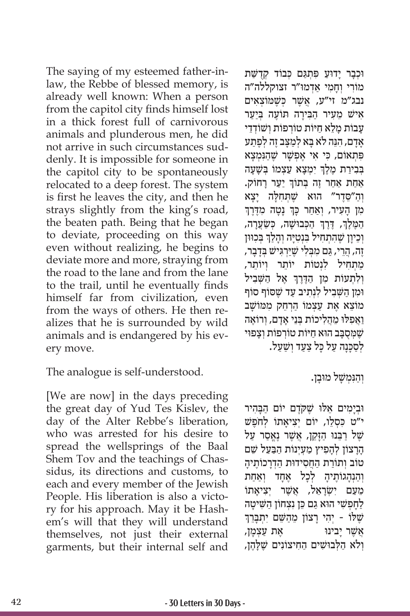The saying of my esteemed father-inlaw, the Rebbe of blessed memory, is already well known: When a person from the capitol city finds himself lost in a thick forest full of carnivorous animals and plunderous men, he did not arrive in such circumstances suddenly. It is impossible for someone in the capitol city to be spontaneously relocated to a deep forest. The system is first he leaves the city, and then he strays slightly from the king's road, the beaten path. Being that he began to deviate, proceeding on this way even without realizing, he begins to deviate more and more, straying from the road to the lane and from the lane to the trail, until he eventually finds himself far from civilization, even from the ways of others. He then realizes that he is surrounded by wild animals and is endangered by his every move.

The analogue is self-understood.

[We are now] in the days preceding the great day of Yud Tes Kislev, the day of the Alter Rebbe's liberation, who was arrested for his desire to spread the wellsprings of the Baal Shem Tov and the teachings of Chassidus, its directions and customs, to each and every member of the Jewish People. His liberation is also a victory for his approach. May it be Hashem's will that they will understand themselves, not just their external garments, but their internal self and

וּכְבָר יַדוּעַ פִּתְגַּם כִּבוֹד קִדְשַּׁת מוֹרי וחמי אדמוּ״ר זצוקללה״ה ֲ נבג"מ זי"ע, אשֶׁ ְ ר כּשֶׁ ּמ ְוֹ צ ִאים אישׁ מֵעִיר הַבִּירַה תּוֹעֵה בְ<u>י</u>ַעַר ַעבוֹת מלֹא חיּוֹת טוֹרפוֹת ושׁוֹדדי ָאַדם, הוֶה לֹא בא לִמצב זֶה לִפֵתע פִּ ְת ִ אוֹ ם, כּ ִ י א ֶ י א ְפשָׁ ר שֶׁ ַהִנּ ְמָצא ֧֧֖֖֖֖֖֖֖֧֚֚֚֚֚֚֚֚֝֝֬<u>֓</u> בְּבִירַת מֶלֶךְ יִמְצָא עַצְמוֹ בְּשָׁעָה ֧֧֧֦֧֢ׅ֖֧֧֚֝֝֬֓֓֓֓֓֓֓֓<u>֓</u> ַ אַחַת אַחַר זֶה בְּתוֹךְ יַעֲר רָחוֹק. וְהַ״סֵדֶר״ הוּא שֶׁתְּחִלָּה יָצָא<br>מז העיר, ואחר כּדְּ נטה מדרד ׇׅ֧֧֖֖֖֖֖֖֖֖֖֧֚֚֚֚֚֚֚֚֚֚֚֓֝֬<u>֓</u> מִן הָעִיר, וְאַחַר כְּךְ נָטָה מִדֶּרֶךְ ֦֧֖֖֖֖֖֪֧֦֖֖֧֪֖֖֚֚֚֚֚֚֚֚֚֚֚֚֚֚֚֚֚֚֚֚֚֚֚֚֬֝֟֓֞֟֓֝֬֝֬֝֓֝֬֝֓֝֬֝֬֝֬֝֬֝֬֝֬֝֬֝֬֝֬֝֬֝֬֝ ַהַמֶּלֶךָ, דֶּרֶךְ הַכְּבוּשָׁה, כְּשַׂעֲרָה, ֧֧֧֦֧֢ׅ֖֧֧֚֝֝֬֓֓֓֓֓֓֓<u>֓</u> ׇׅ֧֧֓<u>֓</u> וְכֵיוָן שֶׁהִתְחִיל בִּנְטִי<sub>ָּ</sub>ה וְהָלַךְ בְּכִוּוּן ֶזֶה, הֲרֵי, גַּם מִבְּלִי שֶׁיַּרְגִּישׁ בְּדָבָר, ַמְתְחִיל לְנְטוֹת יוֹתֵר וְיוֹתֵר, ֧֧֧֦֧֢ׅ֖֧֧֚֝֝֬֓֓֓֓֓֓֓<u>֓</u> וְלִתְעוֹת מִן הַדֶּרֶךְ אֶל הַשְּׁבִיל וּמן השָׁביל לוָתיב עד שֵׁסוֹף סוֹף ִמוֹצֵא אֶת עַצְמוֹ הַרְחֶק מְמוֹשָׁב ַוֲא ִפ ּל ּו ֵ מֲה ִל ְּ יכוֹ ת בֵנ ָ י אָד ְם, ו ֶרוֹ אה שַׁמְּסָבַב הוּא חַיּוֹת טוֹרְפוֹת וְצַפוּי לְסַכַּנָה עַל כַּל צַעַד וִשַּׁעַל.

## וְהַנִּמְשָׁל מוּבַן.

וּבִימים אֵלוּ שֵׁקְדֶם יוֹם הִבּהיר י"ט כִּסְלֵו, יוֹם יְצִיאֲתוֹ לְחֹפֵשׁ שֵׁל רַבֵּנוּ הַזַּקֵן, אֲשֶׁר נֵאֱסַר עַל הַרַצוֹן לְהַפִּיץ מַעָיִנוֹת הַבַּעַל שֵׁם טוֹב וְתוֹרַת הַחֲסִידוּת הַדְרַכוֹתֵיהַ וְהִנְהְגוֹתֵיהַ לְכַל אֶחֲד וְאִחָת ְמֵעָם ישָׂראֵל, אַשֶׁר יְצִיאתוֹ ַלְחַפְשִׁי הוּא גַם כֵּן נִצְחוֹן הַשִּׁיטַה שֵׁלוֹ - יְהי רצוֹן מֵהשֵׁם יתִבְרֵךְ ָאַשׁר יבינו יווי האת עצמן, ּוְלֹא הַלְּבוּשִׁים הַחִיצוֹנִים שֶׁלְהֶן,